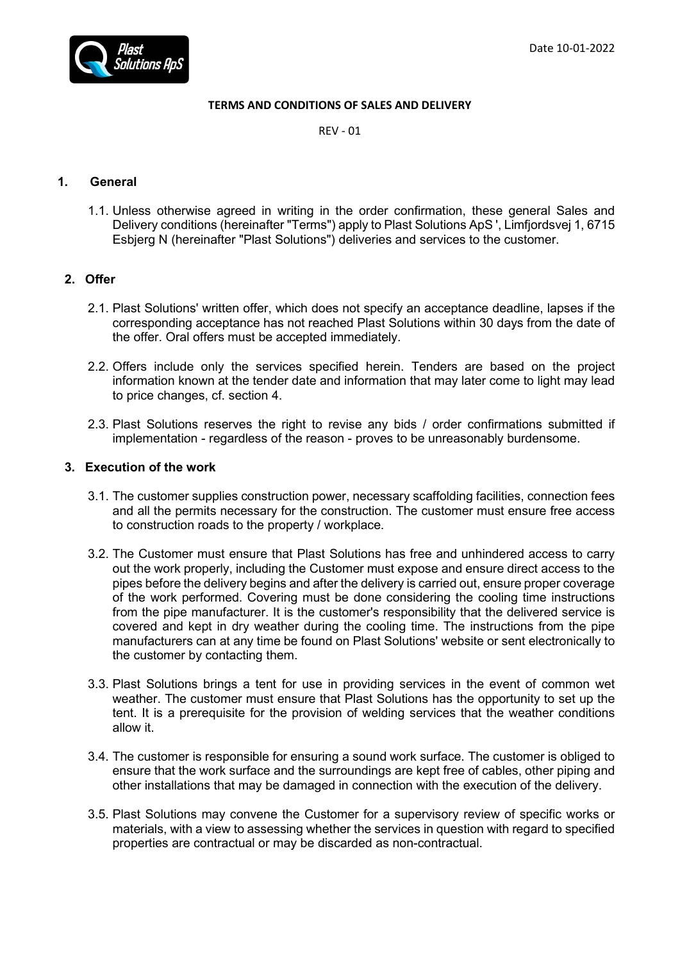

### **TERMS AND CONDITIONS OF SALES AND DELIVERY**

REV - 01

# **1. General**

1.1. Unless otherwise agreed in writing in the order confirmation, these general Sales and Delivery conditions (hereinafter "Terms") apply to Plast Solutions ApS ', Limfjordsvej 1, 6715 Esbjerg N (hereinafter "Plast Solutions") deliveries and services to the customer.

# **2. Offer**

- 2.1. Plast Solutions' written offer, which does not specify an acceptance deadline, lapses if the corresponding acceptance has not reached Plast Solutions within 30 days from the date of the offer. Oral offers must be accepted immediately.
- 2.2. Offers include only the services specified herein. Tenders are based on the project information known at the tender date and information that may later come to light may lead to price changes, cf. section 4.
- 2.3. Plast Solutions reserves the right to revise any bids / order confirmations submitted if implementation - regardless of the reason - proves to be unreasonably burdensome.

### **3. Execution of the work**

- 3.1. The customer supplies construction power, necessary scaffolding facilities, connection fees and all the permits necessary for the construction. The customer must ensure free access to construction roads to the property / workplace.
- 3.2. The Customer must ensure that Plast Solutions has free and unhindered access to carry out the work properly, including the Customer must expose and ensure direct access to the pipes before the delivery begins and after the delivery is carried out, ensure proper coverage of the work performed. Covering must be done considering the cooling time instructions from the pipe manufacturer. It is the customer's responsibility that the delivered service is covered and kept in dry weather during the cooling time. The instructions from the pipe manufacturers can at any time be found on Plast Solutions' website or sent electronically to the customer by contacting them.
- 3.3. Plast Solutions brings a tent for use in providing services in the event of common wet weather. The customer must ensure that Plast Solutions has the opportunity to set up the tent. It is a prerequisite for the provision of welding services that the weather conditions allow it.
- 3.4. The customer is responsible for ensuring a sound work surface. The customer is obliged to ensure that the work surface and the surroundings are kept free of cables, other piping and other installations that may be damaged in connection with the execution of the delivery.
- 3.5. Plast Solutions may convene the Customer for a supervisory review of specific works or materials, with a view to assessing whether the services in question with regard to specified properties are contractual or may be discarded as non-contractual.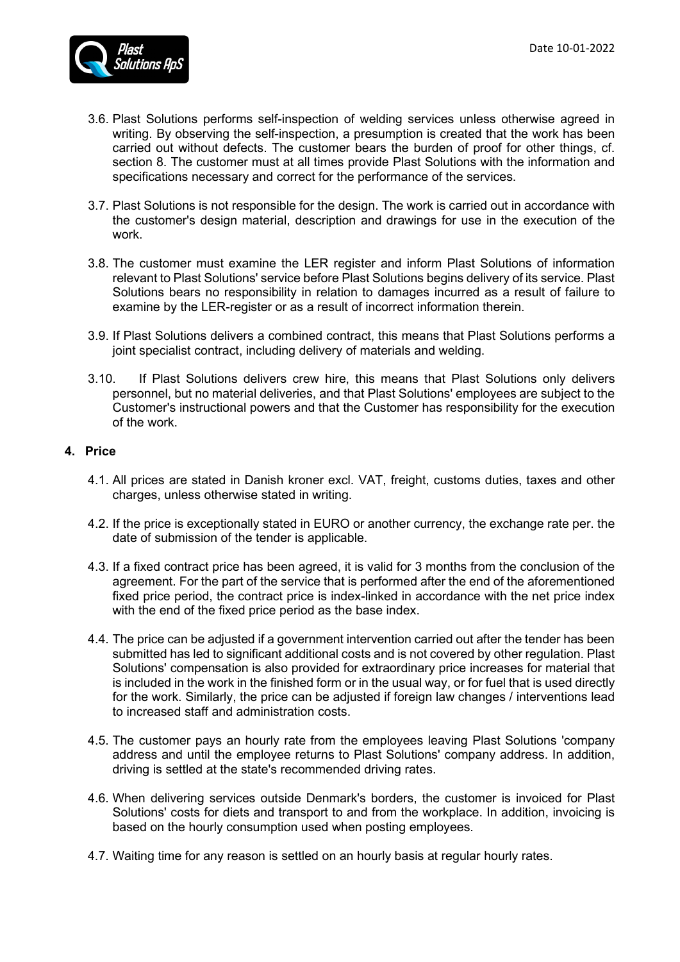

- 3.6. Plast Solutions performs self-inspection of welding services unless otherwise agreed in writing. By observing the self-inspection, a presumption is created that the work has been carried out without defects. The customer bears the burden of proof for other things, cf. section 8. The customer must at all times provide Plast Solutions with the information and specifications necessary and correct for the performance of the services.
- 3.7. Plast Solutions is not responsible for the design. The work is carried out in accordance with the customer's design material, description and drawings for use in the execution of the work.
- 3.8. The customer must examine the LER register and inform Plast Solutions of information relevant to Plast Solutions' service before Plast Solutions begins delivery of its service. Plast Solutions bears no responsibility in relation to damages incurred as a result of failure to examine by the LER-register or as a result of incorrect information therein.
- 3.9. If Plast Solutions delivers a combined contract, this means that Plast Solutions performs a joint specialist contract, including delivery of materials and welding.
- 3.10. If Plast Solutions delivers crew hire, this means that Plast Solutions only delivers personnel, but no material deliveries, and that Plast Solutions' employees are subject to the Customer's instructional powers and that the Customer has responsibility for the execution of the work.

# **4. Price**

- 4.1. All prices are stated in Danish kroner excl. VAT, freight, customs duties, taxes and other charges, unless otherwise stated in writing.
- 4.2. If the price is exceptionally stated in EURO or another currency, the exchange rate per. the date of submission of the tender is applicable.
- 4.3. If a fixed contract price has been agreed, it is valid for 3 months from the conclusion of the agreement. For the part of the service that is performed after the end of the aforementioned fixed price period, the contract price is index-linked in accordance with the net price index with the end of the fixed price period as the base index.
- 4.4. The price can be adjusted if a government intervention carried out after the tender has been submitted has led to significant additional costs and is not covered by other regulation. Plast Solutions' compensation is also provided for extraordinary price increases for material that is included in the work in the finished form or in the usual way, or for fuel that is used directly for the work. Similarly, the price can be adjusted if foreign law changes / interventions lead to increased staff and administration costs.
- 4.5. The customer pays an hourly rate from the employees leaving Plast Solutions 'company address and until the employee returns to Plast Solutions' company address. In addition, driving is settled at the state's recommended driving rates.
- 4.6. When delivering services outside Denmark's borders, the customer is invoiced for Plast Solutions' costs for diets and transport to and from the workplace. In addition, invoicing is based on the hourly consumption used when posting employees.
- 4.7. Waiting time for any reason is settled on an hourly basis at regular hourly rates.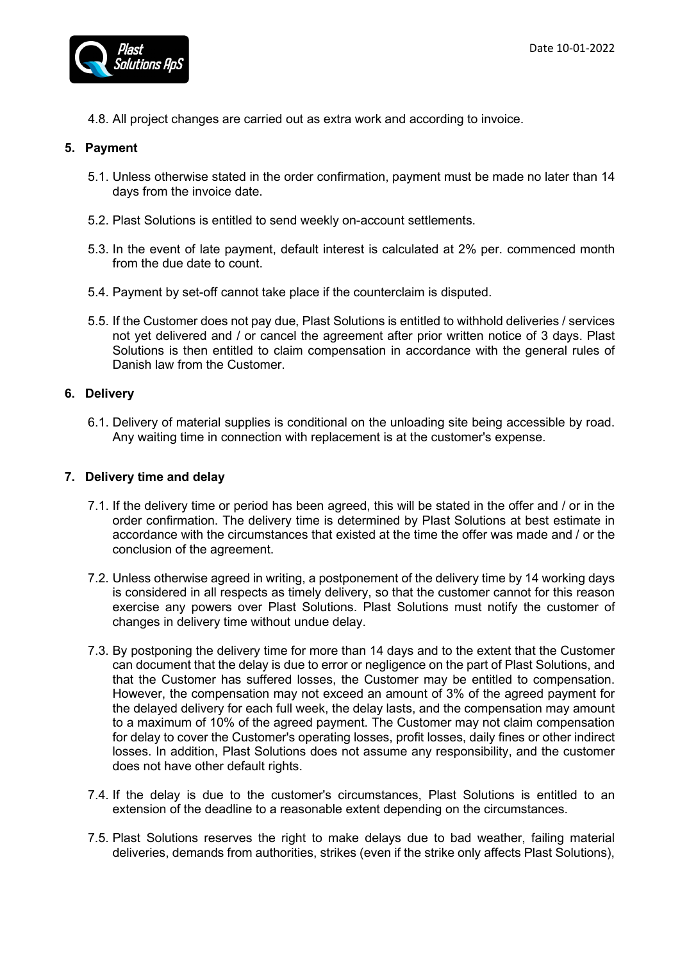

4.8. All project changes are carried out as extra work and according to invoice.

## **5. Payment**

- 5.1. Unless otherwise stated in the order confirmation, payment must be made no later than 14 days from the invoice date.
- 5.2. Plast Solutions is entitled to send weekly on-account settlements.
- 5.3. In the event of late payment, default interest is calculated at 2% per. commenced month from the due date to count.
- 5.4. Payment by set-off cannot take place if the counterclaim is disputed.
- 5.5. If the Customer does not pay due, Plast Solutions is entitled to withhold deliveries / services not yet delivered and / or cancel the agreement after prior written notice of 3 days. Plast Solutions is then entitled to claim compensation in accordance with the general rules of Danish law from the Customer.

## **6. Delivery**

6.1. Delivery of material supplies is conditional on the unloading site being accessible by road. Any waiting time in connection with replacement is at the customer's expense.

### **7. Delivery time and delay**

- 7.1. If the delivery time or period has been agreed, this will be stated in the offer and / or in the order confirmation. The delivery time is determined by Plast Solutions at best estimate in accordance with the circumstances that existed at the time the offer was made and / or the conclusion of the agreement.
- 7.2. Unless otherwise agreed in writing, a postponement of the delivery time by 14 working days is considered in all respects as timely delivery, so that the customer cannot for this reason exercise any powers over Plast Solutions. Plast Solutions must notify the customer of changes in delivery time without undue delay.
- 7.3. By postponing the delivery time for more than 14 days and to the extent that the Customer can document that the delay is due to error or negligence on the part of Plast Solutions, and that the Customer has suffered losses, the Customer may be entitled to compensation. However, the compensation may not exceed an amount of 3% of the agreed payment for the delayed delivery for each full week, the delay lasts, and the compensation may amount to a maximum of 10% of the agreed payment. The Customer may not claim compensation for delay to cover the Customer's operating losses, profit losses, daily fines or other indirect losses. In addition, Plast Solutions does not assume any responsibility, and the customer does not have other default rights.
- 7.4. If the delay is due to the customer's circumstances, Plast Solutions is entitled to an extension of the deadline to a reasonable extent depending on the circumstances.
- 7.5. Plast Solutions reserves the right to make delays due to bad weather, failing material deliveries, demands from authorities, strikes (even if the strike only affects Plast Solutions),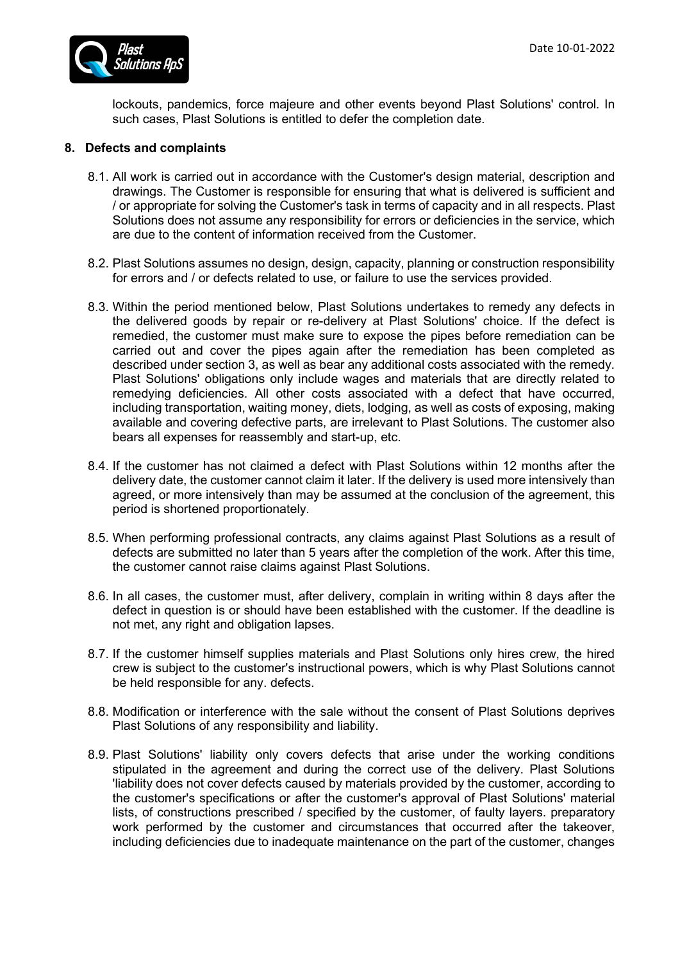lockouts, pandemics, force majeure and other events beyond Plast Solutions' control. In such cases, Plast Solutions is entitled to defer the completion date.

## **8. Defects and complaints**

- 8.1. All work is carried out in accordance with the Customer's design material, description and drawings. The Customer is responsible for ensuring that what is delivered is sufficient and / or appropriate for solving the Customer's task in terms of capacity and in all respects. Plast Solutions does not assume any responsibility for errors or deficiencies in the service, which are due to the content of information received from the Customer.
- 8.2. Plast Solutions assumes no design, design, capacity, planning or construction responsibility for errors and / or defects related to use, or failure to use the services provided.
- 8.3. Within the period mentioned below, Plast Solutions undertakes to remedy any defects in the delivered goods by repair or re-delivery at Plast Solutions' choice. If the defect is remedied, the customer must make sure to expose the pipes before remediation can be carried out and cover the pipes again after the remediation has been completed as described under section 3, as well as bear any additional costs associated with the remedy. Plast Solutions' obligations only include wages and materials that are directly related to remedying deficiencies. All other costs associated with a defect that have occurred, including transportation, waiting money, diets, lodging, as well as costs of exposing, making available and covering defective parts, are irrelevant to Plast Solutions. The customer also bears all expenses for reassembly and start-up, etc.
- 8.4. If the customer has not claimed a defect with Plast Solutions within 12 months after the delivery date, the customer cannot claim it later. If the delivery is used more intensively than agreed, or more intensively than may be assumed at the conclusion of the agreement, this period is shortened proportionately.
- 8.5. When performing professional contracts, any claims against Plast Solutions as a result of defects are submitted no later than 5 years after the completion of the work. After this time, the customer cannot raise claims against Plast Solutions.
- 8.6. In all cases, the customer must, after delivery, complain in writing within 8 days after the defect in question is or should have been established with the customer. If the deadline is not met, any right and obligation lapses.
- 8.7. If the customer himself supplies materials and Plast Solutions only hires crew, the hired crew is subject to the customer's instructional powers, which is why Plast Solutions cannot be held responsible for any. defects.
- 8.8. Modification or interference with the sale without the consent of Plast Solutions deprives Plast Solutions of any responsibility and liability.
- 8.9. Plast Solutions' liability only covers defects that arise under the working conditions stipulated in the agreement and during the correct use of the delivery. Plast Solutions 'liability does not cover defects caused by materials provided by the customer, according to the customer's specifications or after the customer's approval of Plast Solutions' material lists, of constructions prescribed / specified by the customer, of faulty layers. preparatory work performed by the customer and circumstances that occurred after the takeover, including deficiencies due to inadequate maintenance on the part of the customer, changes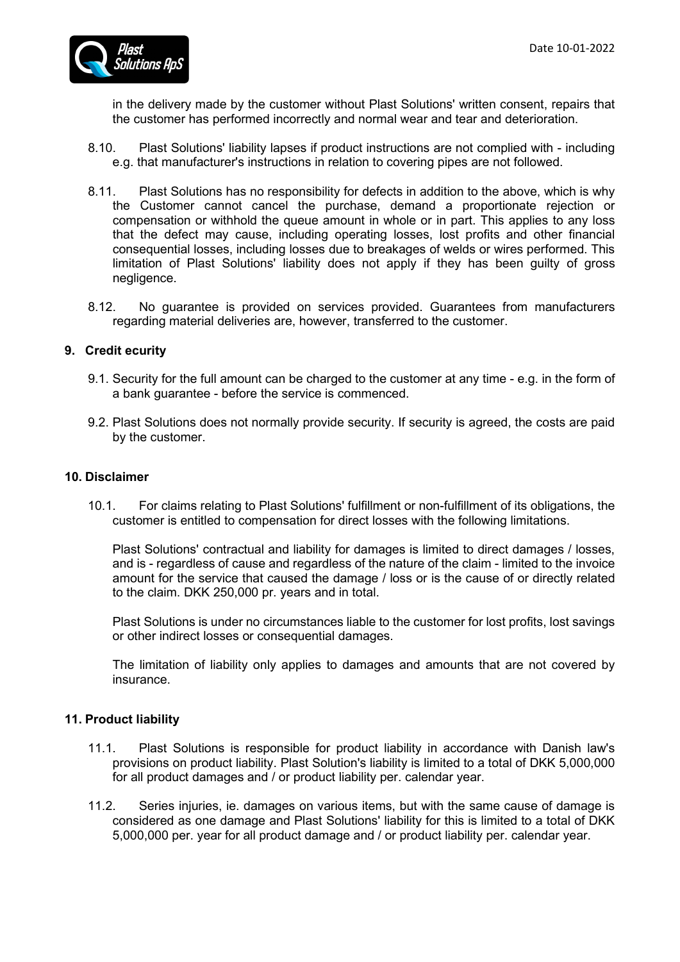

in the delivery made by the customer without Plast Solutions' written consent, repairs that the customer has performed incorrectly and normal wear and tear and deterioration.

- 8.10. Plast Solutions' liability lapses if product instructions are not complied with including e.g. that manufacturer's instructions in relation to covering pipes are not followed.
- 8.11. Plast Solutions has no responsibility for defects in addition to the above, which is why the Customer cannot cancel the purchase, demand a proportionate rejection or compensation or withhold the queue amount in whole or in part. This applies to any loss that the defect may cause, including operating losses, lost profits and other financial consequential losses, including losses due to breakages of welds or wires performed. This limitation of Plast Solutions' liability does not apply if they has been guilty of gross negligence.
- 8.12. No guarantee is provided on services provided. Guarantees from manufacturers regarding material deliveries are, however, transferred to the customer.

## **9. Credit ecurity**

- 9.1. Security for the full amount can be charged to the customer at any time e.g. in the form of a bank guarantee - before the service is commenced.
- 9.2. Plast Solutions does not normally provide security. If security is agreed, the costs are paid by the customer.

### **10. Disclaimer**

10.1. For claims relating to Plast Solutions' fulfillment or non-fulfillment of its obligations, the customer is entitled to compensation for direct losses with the following limitations.

Plast Solutions' contractual and liability for damages is limited to direct damages / losses, and is - regardless of cause and regardless of the nature of the claim - limited to the invoice amount for the service that caused the damage / loss or is the cause of or directly related to the claim. DKK 250,000 pr. years and in total.

Plast Solutions is under no circumstances liable to the customer for lost profits, lost savings or other indirect losses or consequential damages.

The limitation of liability only applies to damages and amounts that are not covered by insurance.

# **11. Product liability**

- 11.1. Plast Solutions is responsible for product liability in accordance with Danish law's provisions on product liability. Plast Solution's liability is limited to a total of DKK 5,000,000 for all product damages and / or product liability per. calendar year.
- 11.2. Series injuries, ie. damages on various items, but with the same cause of damage is considered as one damage and Plast Solutions' liability for this is limited to a total of DKK 5,000,000 per. year for all product damage and / or product liability per. calendar year.